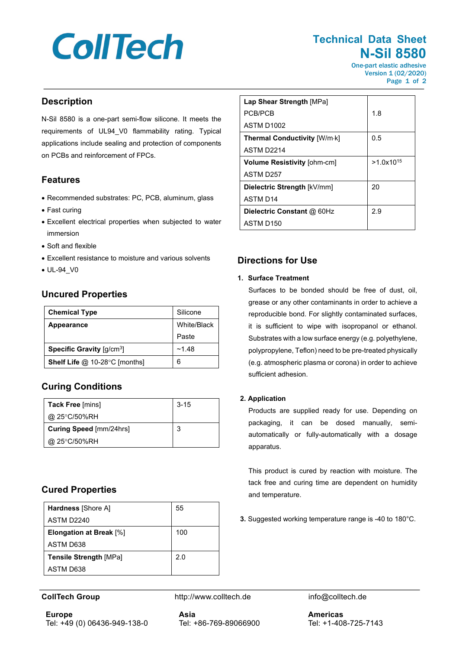# **CollTech**

# **Technical Data Sheet N-Sil 8580**

One-part elastic adhesive Version 1 (02/2020) Page 1 of 2

### **Description**

N-Sil 8580 is a one-part semi-flow silicone. It meets the requirements of UL94\_V0 flammability rating. Typical applications include sealing and protection of components on PCBs and reinforcement of FPCs.

## **Features**

- Recommended substrates: PC, PCB, aluminum, glass
- Fast curing
- Excellent electrical properties when subjected to water immersion
- Soft and flexible
- Excellent resistance to moisture and various solvents
- UL-94\_V0

# **Uncured Properties**

| <b>Chemical Type</b>                                  | Silicone    |  |
|-------------------------------------------------------|-------------|--|
| <b>Appearance</b>                                     | White/Black |  |
|                                                       | Paste       |  |
| <b>Specific Gravity</b> $\left[\frac{q}{cm^3}\right]$ | ~1.48       |  |
| Shelf Life @ 10-28°C [months]                         | 6           |  |

# **Curing Conditions**

| <b>Tack Free [mins]</b>        | $3 - 15$ |
|--------------------------------|----------|
| @ 25°C/50%RH                   |          |
| <b>Curing Speed [mm/24hrs]</b> |          |
| @ 25°C/50%RH                   |          |

# **Cured Properties**

| <b>Hardness</b> [Shore A]      | 55  |
|--------------------------------|-----|
| ASTM D2240                     |     |
| <b>Elongation at Break</b> [%] | 100 |
| ASTM D638                      |     |
| <b>Tensile Strength [MPa]</b>  | 2.0 |
| ASTM D638                      |     |

**Europe** Tel: +49 (0) 06436-949-138-0

**CollTech Group http://www.colltech.de info@colltech.de info@colltech.de** 

| Lap Shear Strength [MPa]            |                |
|-------------------------------------|----------------|
| PCB/PCB                             | 1.8            |
| <b>ASTM D1002</b>                   |                |
| <b>Thermal Conductivity [W/m·k]</b> | 0.5            |
| ASTM D <sub>2214</sub>              |                |
| <b>Volume Resistivity [ohm-cm]</b>  | $>1.0x10^{15}$ |
| ASTM D257                           |                |
| Dielectric Strength [kV/mm]         | 20             |
| <b>ASTM D14</b>                     |                |
| Dielectric Constant @ 60Hz          | 2.9            |

# **Directions for Use**

#### **1. Surface Treatment**

ASTM D150

Surfaces to be bonded should be free of dust, oil, grease or any other contaminants in order to achieve a reproducible bond. For slightly contaminated surfaces, it is sufficient to wipe with isopropanol or ethanol. Substrates with a low surface energy (e.g. polyethylene, polypropylene, Teflon) need to be pre-treated physically (e.g. atmospheric plasma or corona) in order to achieve sufficient adhesion.

#### **2. Application**

Products are supplied ready for use. Depending on packaging, it can be dosed manually, semiautomatically or fully-automatically with a dosage apparatus.

This product is cured by reaction with moisture. The tack free and curing time are dependent on humidity and temperature.

**3.** Suggested working temperature range is -40 to 180°C.

**Asia** Tel: +86-769-89066900 **Americas** Tel: +1-408-725-7143